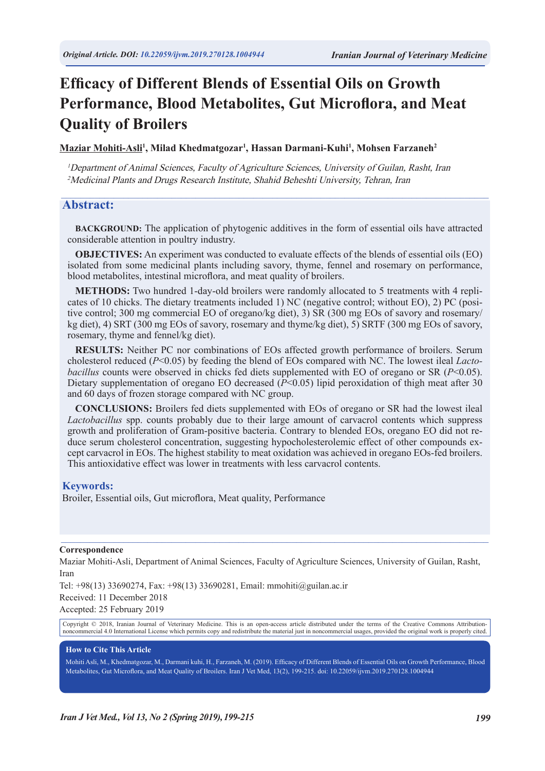# **Efficacy of Different Blends of Essential Oils on Growth Performance, Blood Metabolites, Gut Microflora, and Meat Quality of Broilers**

**Maziar Mohiti-Asli1 , Milad Khedmatgozar1 , Hassan Darmani-Kuhi1 , Mohsen Farzaneh2**

<sup>1</sup>Department of Animal Sciences, Faculty of Agriculture Sciences, University of Guilan, Rasht, Iran <sup>2</sup>Medicinal Plants and Drugs Research Institute, Shahid Beheshti University, Tehran, Iran

### **Abstract:**

**BACKGROUND:** The application of phytogenic additives in the form of essential oils have attracted considerable attention in poultry industry.

 $\mathcal{L}_\mathcal{L} = \{ \mathcal{L}_\mathcal{L} = \{ \mathcal{L}_\mathcal{L} = \{ \mathcal{L}_\mathcal{L} = \{ \mathcal{L}_\mathcal{L} = \{ \mathcal{L}_\mathcal{L} = \{ \mathcal{L}_\mathcal{L} = \{ \mathcal{L}_\mathcal{L} = \{ \mathcal{L}_\mathcal{L} = \{ \mathcal{L}_\mathcal{L} = \{ \mathcal{L}_\mathcal{L} = \{ \mathcal{L}_\mathcal{L} = \{ \mathcal{L}_\mathcal{L} = \{ \mathcal{L}_\mathcal{L} = \{ \mathcal{L}_\mathcal{$ 

**OBJECTIVES:** An experiment was conducted to evaluate effects of the blends of essential oils (EO) isolated from some medicinal plants including savory, thyme, fennel and rosemary on performance, blood metabolites, intestinal microflora, and meat quality of broilers.

**METHODS:** Two hundred 1-day-old broilers were randomly allocated to 5 treatments with 4 replicates of 10 chicks. The dietary treatments included 1) NC (negative control; without EO), 2) PC (positive control; 300 mg commercial EO of oregano/kg diet), 3) SR (300 mg EOs of savory and rosemary/ kg diet), 4) SRT (300 mg EOs of savory, rosemary and thyme/kg diet), 5) SRTF (300 mg EOs of savory, rosemary, thyme and fennel/kg diet).

**RESULTS:** Neither PC nor combinations of EOs affected growth performance of broilers. Serum cholesterol reduced (*P*<0.05) by feeding the blend of EOs compared with NC. The lowest ileal *Lactobacillus* counts were observed in chicks fed diets supplemented with EO of oregano or SR (*P*<0.05). Dietary supplementation of oregano EO decreased (*P*<0.05) lipid peroxidation of thigh meat after 30 and 60 days of frozen storage compared with NC group.

**CONCLUSIONS:** Broilers fed diets supplemented with EOs of oregano or SR had the lowest ileal *Lactobacillus* spp. counts probably due to their large amount of carvacrol contents which suppress growth and proliferation of Gram-positive bacteria. Contrary to blended EOs, oregano EO did not reduce serum cholesterol concentration, suggesting hypocholesterolemic effect of other compounds except carvacrol in EOs. The highest stability to meat oxidation was achieved in oregano EOs-fed broilers. This antioxidative effect was lower in treatments with less carvacrol contents.

#### **Keywords:**

Broiler, Essential oils, Gut microflora, Meat quality, Performance

#### **Correspondence**

Maziar Mohiti-Asli, Department of Animal Sciences, Faculty of Agriculture Sciences, University of Guilan, Rasht, Iran

 $\_$  , and the state of the state of the state of the state of the state of the state of the state of the state of the state of the state of the state of the state of the state of the state of the state of the state of the

Tel: +98(13) 33690274, Fax: +98(13) 33690281, Email: mmohiti@guilan.ac.ir

Received: 11 December 2018

Accepted: 25 February 2019

Copyright © 2018, Iranian Journal of Veterinary Medicine. This is an open-access article distributed under the terms of the Creative Commons Attributionnoncommercial 4.0 International License which permits copy and redistribute the material just in noncommercial usages, provided the original work is properly cited.

#### **How to Cite This Article**

Mohiti Asli, M., Khedmatgozar, M., Darmani kuhi, H., Farzaneh, M. (2019). Efficacy of Different Blends of Essential Oils on Growth Performance, Blood Metabolites, Gut Microflora, and Meat Quality of Broilers. Iran J Vet Med, 13(2), 199-215. doi: 10.22059/ijvm.2019.270128.1004944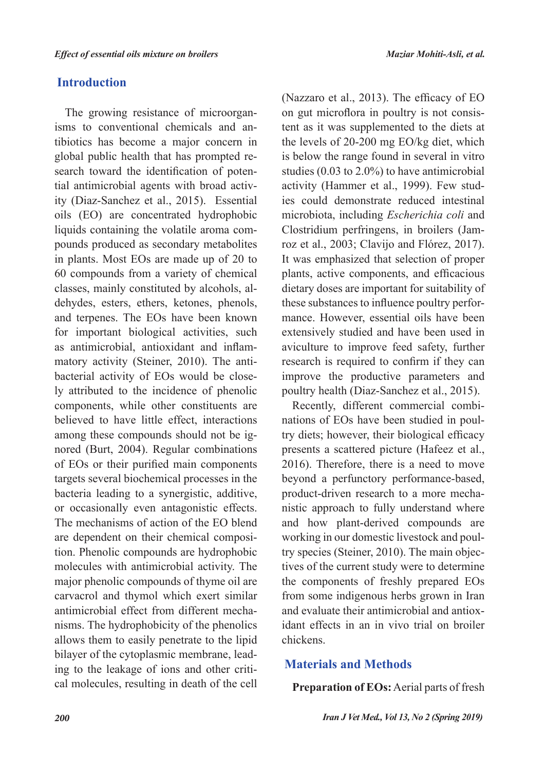# **Introduction**

The growing resistance of microorganisms to conventional chemicals and antibiotics has become a major concern in global public health that has prompted research toward the identification of potential antimicrobial agents with broad activity (Diaz-Sanchez et al., 2015). Essential oils (EO) are concentrated hydrophobic liquids containing the volatile aroma compounds produced as secondary metabolites in plants. Most EOs are made up of 20 to 60 compounds from a variety of chemical classes, mainly constituted by alcohols, aldehydes, esters, ethers, ketones, phenols, and terpenes. The EOs have been known for important biological activities, such as antimicrobial, antioxidant and inflammatory activity (Steiner, 2010). The antibacterial activity of EOs would be closely attributed to the incidence of phenolic components, while other constituents are believed to have little effect, interactions among these compounds should not be ignored (Burt, 2004). Regular combinations of EOs or their purified main components targets several biochemical processes in the bacteria leading to a synergistic, additive, or occasionally even antagonistic effects. The mechanisms of action of the EO blend are dependent on their chemical composition. Phenolic compounds are hydrophobic molecules with antimicrobial activity. The major phenolic compounds of thyme oil are carvacrol and thymol which exert similar antimicrobial effect from different mechanisms. The hydrophobicity of the phenolics allows them to easily penetrate to the lipid bilayer of the cytoplasmic membrane, leading to the leakage of ions and other critical molecules, resulting in death of the cell

(Nazzaro et al., 2013). The efficacy of EO on gut microflora in poultry is not consistent as it was supplemented to the diets at the levels of 20-200 mg EO/kg diet, which is below the range found in several in vitro studies (0.03 to 2.0%) to have antimicrobial activity (Hammer et al., 1999). Few studies could demonstrate reduced intestinal microbiota, including *Escherichia coli* and Clostridium perfringens, in broilers (Jamroz et al., 2003; Clavijo and Flórez, 2017). It was emphasized that selection of proper plants, active components, and efficacious dietary doses are important for suitability of these substances to influence poultry performance. However, essential oils have been extensively studied and have been used in aviculture to improve feed safety, further research is required to confirm if they can improve the productive parameters and poultry health (Diaz-Sanchez et al., 2015).

Recently, different commercial combinations of EOs have been studied in poultry diets; however, their biological efficacy presents a scattered picture (Hafeez et al., 2016). Therefore, there is a need to move beyond a perfunctory performance-based, product-driven research to a more mechanistic approach to fully understand where and how plant-derived compounds are working in our domestic livestock and poultry species (Steiner, 2010). The main objectives of the current study were to determine the components of freshly prepared EOs from some indigenous herbs grown in Iran and evaluate their antimicrobial and antioxidant effects in an in vivo trial on broiler chickens.

# **Materials and Methods**

**Preparation of EOs:** Aerial parts of fresh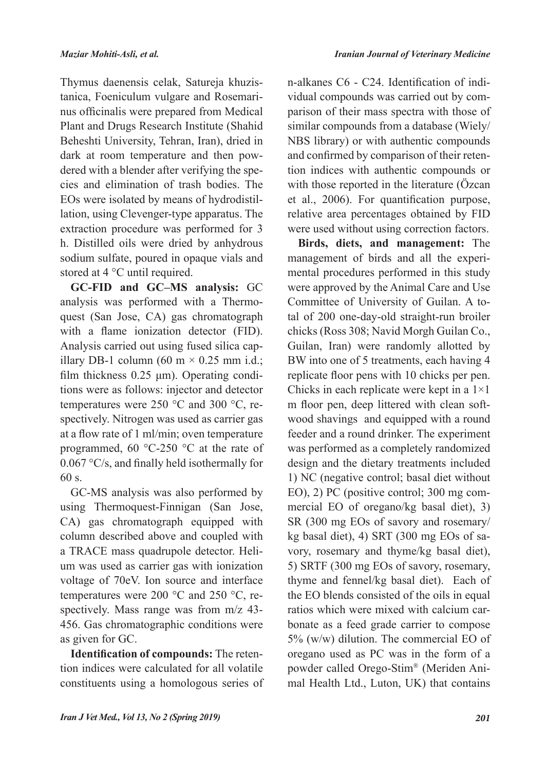Thymus daenensis celak, Satureja khuzistanica, Foeniculum vulgare and Rosemarinus officinalis were prepared from Medical Plant and Drugs Research Institute (Shahid Beheshti University, Tehran, Iran), dried in dark at room temperature and then powdered with a blender after verifying the species and elimination of trash bodies. The EOs were isolated by means of hydrodistillation, using Clevenger-type apparatus. The extraction procedure was performed for 3 h. Distilled oils were dried by anhydrous sodium sulfate, poured in opaque vials and stored at 4 °C until required.

**GC-FID and GC–MS analysis:** GC analysis was performed with a Thermoquest (San Jose, CA) gas chromatograph with a flame ionization detector (FID). Analysis carried out using fused silica capillary DB-1 column (60 m  $\times$  0.25 mm i.d.; film thickness 0.25 μm). Operating conditions were as follows: injector and detector temperatures were 250 °C and 300 °C, respectively. Nitrogen was used as carrier gas at a flow rate of 1 ml/min; oven temperature programmed, 60 °C-250 °C at the rate of 0.067 °C/s, and finally held isothermally for 60 s.

GC-MS analysis was also performed by using Thermoquest-Finnigan (San Jose, CA) gas chromatograph equipped with column described above and coupled with a TRACE mass quadrupole detector. Helium was used as carrier gas with ionization voltage of 70eV. Ion source and interface temperatures were 200 °C and 250 °C, respectively. Mass range was from m/z 43- 456. Gas chromatographic conditions were as given for GC.

**Identification of compounds:** The retention indices were calculated for all volatile constituents using a homologous series of

n-alkanes C6 - C24. Identification of individual compounds was carried out by comparison of their mass spectra with those of similar compounds from a database (Wiely/ NBS library) or with authentic compounds and confirmed by comparison of their retention indices with authentic compounds or with those reported in the literature (Özcan et al., 2006). For quantification purpose, relative area percentages obtained by FID were used without using correction factors.

**Birds, diets, and management:** The management of birds and all the experimental procedures performed in this study were approved by the Animal Care and Use Committee of University of Guilan. A total of 200 one-day-old straight-run broiler chicks (Ross 308; Navid Morgh Guilan Co., Guilan, Iran) were randomly allotted by BW into one of 5 treatments, each having 4 replicate floor pens with 10 chicks per pen. Chicks in each replicate were kept in a 1×1 m floor pen, deep littered with clean softwood shavings and equipped with a round feeder and a round drinker. The experiment was performed as a completely randomized design and the dietary treatments included 1) NC (negative control; basal diet without EO), 2) PC (positive control; 300 mg commercial EO of oregano/kg basal diet), 3) SR (300 mg EOs of savory and rosemary/ kg basal diet), 4) SRT (300 mg EOs of savory, rosemary and thyme/kg basal diet), 5) SRTF (300 mg EOs of savory, rosemary, thyme and fennel/kg basal diet). Each of the EO blends consisted of the oils in equal ratios which were mixed with calcium carbonate as a feed grade carrier to compose 5% (w/w) dilution. The commercial EO of oregano used as PC was in the form of a powder called Orego-Stim® (Meriden Animal Health Ltd., Luton, UK) that contains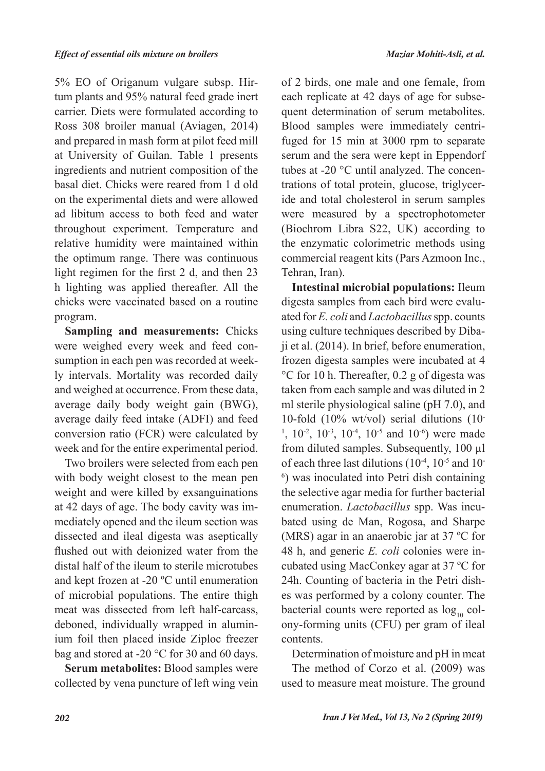5% EO of Origanum vulgare subsp. Hirtum plants and 95% natural feed grade inert carrier. Diets were formulated according to Ross 308 broiler manual (Aviagen, 2014) and prepared in mash form at pilot feed mill at University of Guilan. Table 1 presents ingredients and nutrient composition of the basal diet. Chicks were reared from 1 d old on the experimental diets and were allowed ad libitum access to both feed and water throughout experiment. Temperature and relative humidity were maintained within the optimum range. There was continuous light regimen for the first 2 d, and then 23 h lighting was applied thereafter. All the chicks were vaccinated based on a routine program.

**Sampling and measurements:** Chicks were weighed every week and feed consumption in each pen was recorded at weekly intervals. Mortality was recorded daily and weighed at occurrence. From these data, average daily body weight gain (BWG), average daily feed intake (ADFI) and feed conversion ratio (FCR) were calculated by week and for the entire experimental period.

Two broilers were selected from each pen with body weight closest to the mean pen weight and were killed by exsanguinations at 42 days of age. The body cavity was immediately opened and the ileum section was dissected and ileal digesta was aseptically flushed out with deionized water from the distal half of the ileum to sterile microtubes and kept frozen at -20 ºC until enumeration of microbial populations. The entire thigh meat was dissected from left half-carcass, deboned, individually wrapped in aluminium foil then placed inside Ziploc freezer bag and stored at -20 °C for 30 and 60 days.

**Serum metabolites:** Blood samples were collected by vena puncture of left wing vein

of 2 birds, one male and one female, from each replicate at 42 days of age for subsequent determination of serum metabolites. Blood samples were immediately centrifuged for 15 min at 3000 rpm to separate serum and the sera were kept in Eppendorf tubes at -20 °C until analyzed. The concentrations of total protein, glucose, triglyceride and total cholesterol in serum samples were measured by a spectrophotometer (Biochrom Libra S22, UK) according to the enzymatic colorimetric methods using commercial reagent kits (Pars Azmoon Inc., Tehran, Iran).

**Intestinal microbial populations:** Ileum digesta samples from each bird were evaluated for *E. coli* and *Lactobacillus* spp. counts using culture techniques described by Dibaji et al. (2014). In brief, before enumeration, frozen digesta samples were incubated at 4 °C for 10 h. Thereafter, 0.2 g of digesta was taken from each sample and was diluted in 2 ml sterile physiological saline (pH 7.0), and 10-fold (10% wt/vol) serial dilutions (10- <sup>1</sup>,  $10^{-2}$ ,  $10^{-3}$ ,  $10^{-4}$ ,  $10^{-5}$  and  $10^{-6}$ ) were made from diluted samples. Subsequently, 100 µl of each three last dilutions  $(10^{-4}, 10^{-5})$  and 10-6 ) was inoculated into Petri dish containing the selective agar media for further bacterial enumeration. *Lactobacillus* spp. Was incubated using de Man, Rogosa, and Sharpe (MRS) agar in an anaerobic jar at 37 ºC for 48 h, and generic *E. coli* colonies were incubated using MacConkey agar at 37 ºC for 24h. Counting of bacteria in the Petri dishes was performed by a colony counter. The bacterial counts were reported as  $log_{10}$  colony-forming units (CFU) per gram of ileal contents.

Determination of moisture and pH in meat

The method of Corzo et al. (2009) was used to measure meat moisture. The ground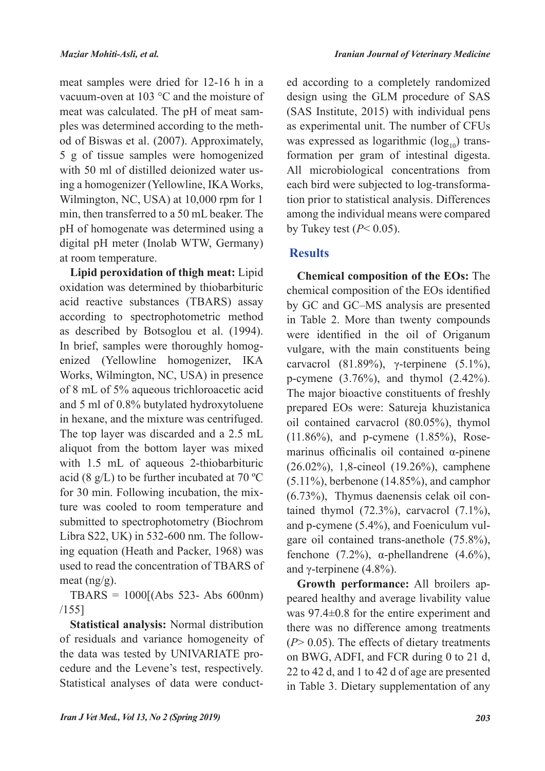meat samples were dried for 12-16 h in a vacuum-oven at 103 °C and the moisture of meat was calculated. The pH of meat samples was determined according to the method of Biswas et al. (2007). Approximately, 5 g of tissue samples were homogenized with 50 ml of distilled deionized water using a homogenizer (Yellowline, IKA Works, Wilmington, NC, USA) at 10,000 rpm for 1 min, then transferred to a 50 mL beaker. The pH of homogenate was determined using a digital pH meter (Inolab WTW, Germany) at room temperature.

**Lipid peroxidation of thigh meat:** Lipid oxidation was determined by thiobarbituric acid reactive substances (TBARS) assay according to spectrophotometric method as described by Botsoglou et al. (1994). In brief, samples were thoroughly homogenized (Yellowline homogenizer, IKA Works, Wilmington, NC, USA) in presence of 8 mL of 5% aqueous trichloroacetic acid and 5 ml of 0.8% butylated hydroxytoluene in hexane, and the mixture was centrifuged. The top layer was discarded and a 2.5 mL aliquot from the bottom layer was mixed with 1.5 mL of aqueous 2-thiobarbituric acid (8  $g/L$ ) to be further incubated at 70 °C for 30 min. Following incubation, the mixture was cooled to room temperature and submitted to spectrophotometry (Biochrom Libra S22, UK) in 532-600 nm. The following equation (Heath and Packer, 1968) was used to read the concentration of TBARS of meat (ng/g).

TBARS = 1000[(Abs 523- Abs 600nm) /155]

**Statistical analysis:** Normal distribution of residuals and variance homogeneity of the data was tested by UNIVARIATE procedure and the Levene's test, respectively. Statistical analyses of data were conducted according to a completely randomized design using the GLM procedure of SAS (SAS Institute, 2015) with individual pens as experimental unit. The number of CFUs was expressed as logarithmic  $(log_{10})$  transformation per gram of intestinal digesta. All microbiological concentrations from each bird were subjected to log-transformation prior to statistical analysis. Differences among the individual means were compared by Tukey test  $(P< 0.05)$ .

# **Results**

**Chemical composition of the EOs:** The chemical composition of the EOs identified by GC and GC–MS analysis are presented in Table 2. More than twenty compounds were identified in the oil of Origanum vulgare, with the main constituents being carvacrol (81.89%), γ-terpinene (5.1%), p-cymene (3.76%), and thymol (2.42%). The major bioactive constituents of freshly prepared EOs were: Satureja khuzistanica oil contained carvacrol (80.05%), thymol (11.86%), and p-cymene (1.85%), Rosemarinus officinalis oil contained α-pinene (26.02%), 1,8-cineol (19.26%), camphene (5.11%), berbenone (14.85%), and camphor (6.73%), Thymus daenensis celak oil contained thymol  $(72.3\%)$ , carvacrol  $(7.1\%)$ , and p-cymene (5.4%), and Foeniculum vulgare oil contained trans-anethole (75.8%), fenchone (7.2%),  $\alpha$ -phellandrene (4.6%), and  $\gamma$ -terpinene (4.8%).

**Growth performance:** All broilers appeared healthy and average livability value was 97.4±0.8 for the entire experiment and there was no difference among treatments (*P*> 0.05). The effects of dietary treatments on BWG, ADFI, and FCR during 0 to 21 d, 22 to 42 d, and 1 to 42 d of age are presented in Table 3. Dietary supplementation of any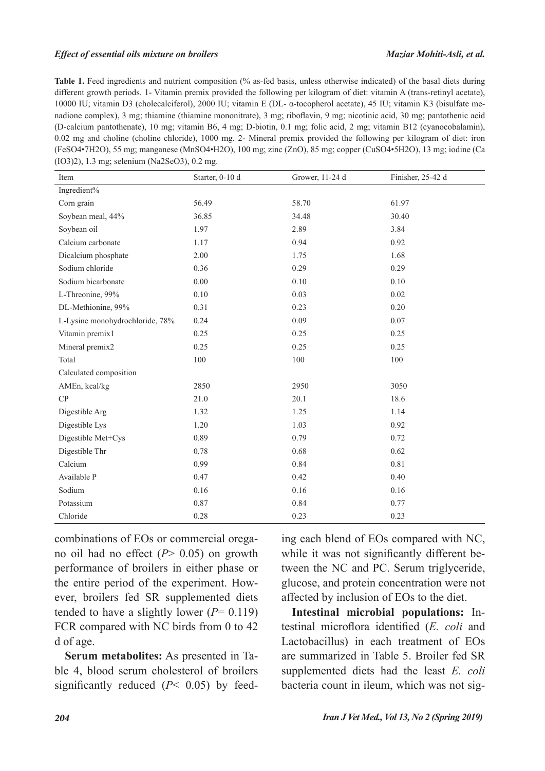### *Effect of essential oils mixture on broilers Maziar Mohiti-Asli, et al.*

**Table 1.** Feed ingredients and nutrient composition (% as-fed basis, unless otherwise indicated) of the basal diets during different growth periods. 1- Vitamin premix provided the following per kilogram of diet: vitamin A (trans-retinyl acetate), 10000 IU; vitamin D3 (cholecalciferol), 2000 IU; vitamin E (DL- α-tocopherol acetate), 45 IU; vitamin K3 (bisulfate menadione complex), 3 mg; thiamine (thiamine mononitrate), 3 mg; riboflavin, 9 mg; nicotinic acid, 30 mg; pantothenic acid (D-calcium pantothenate), 10 mg; vitamin B6, 4 mg; D-biotin, 0.1 mg; folic acid, 2 mg; vitamin B12 (cyanocobalamin), 0.02 mg and choline (choline chloride), 1000 mg. 2- Mineral premix provided the following per kilogram of diet: iron (FeSO4•7H2O), 55 mg; manganese (MnSO4•H2O), 100 mg; zinc (ZnO), 85 mg; copper (CuSO4•5H2O), 13 mg; iodine (Ca (IO3)2), 1.3 mg; selenium (Na2SeO3), 0.2 mg.

| Item                            | Starter, 0-10 d | Grower, 11-24 d | Finisher, 25-42 d |
|---------------------------------|-----------------|-----------------|-------------------|
| Ingredient%                     |                 |                 |                   |
| Corn grain                      | 56.49           | 58.70           | 61.97             |
| Soybean meal, 44%               | 36.85           | 34.48           | 30.40             |
| Soybean oil                     | 1.97            | 2.89            | 3.84              |
| Calcium carbonate               | 1.17            | 0.94            | 0.92              |
| Dicalcium phosphate             | 2.00            | 1.75            | 1.68              |
| Sodium chloride                 | 0.36            | 0.29            | 0.29              |
| Sodium bicarbonate              | $0.00\,$        | 0.10            | 0.10              |
| L-Threonine, 99%                | 0.10            | 0.03            | 0.02              |
| DL-Methionine, 99%              | 0.31            | 0.23            | 0.20              |
| L-Lysine monohydrochloride, 78% | 0.24            | 0.09            | 0.07              |
| Vitamin premix1                 | 0.25            | 0.25            | 0.25              |
| Mineral premix2                 | 0.25            | 0.25            | 0.25              |
| Total                           | 100             | 100             | 100               |
| Calculated composition          |                 |                 |                   |
| AMEn, kcal/kg                   | 2850            | 2950            | 3050              |
| CP                              | 21.0            | 20.1            | 18.6              |
| Digestible Arg                  | 1.32            | 1.25            | 1.14              |
| Digestible Lys                  | 1.20            | 1.03            | 0.92              |
| Digestible Met+Cys              | 0.89            | 0.79            | 0.72              |
| Digestible Thr                  | 0.78            | 0.68            | 0.62              |
| Calcium                         | 0.99            | 0.84            | 0.81              |
| Available P                     | 0.47            | 0.42            | 0.40              |
| Sodium                          | 0.16            | 0.16            | 0.16              |
| Potassium                       | 0.87            | 0.84            | 0.77              |
| Chloride                        | 0.28            | 0.23            | 0.23              |

combinations of EOs or commercial oregano oil had no effect (*P*> 0.05) on growth performance of broilers in either phase or the entire period of the experiment. However, broilers fed SR supplemented diets tended to have a slightly lower  $(P= 0.119)$ FCR compared with NC birds from 0 to 42 d of age.

**Serum metabolites:** As presented in Table 4, blood serum cholesterol of broilers significantly reduced (*P*< 0.05) by feeding each blend of EOs compared with NC, while it was not significantly different between the NC and PC. Serum triglyceride, glucose, and protein concentration were not affected by inclusion of EOs to the diet.

**Intestinal microbial populations:** Intestinal microflora identified (*E. coli* and Lactobacillus) in each treatment of EOs are summarized in Table 5. Broiler fed SR supplemented diets had the least *E. coli* bacteria count in ileum, which was not sig-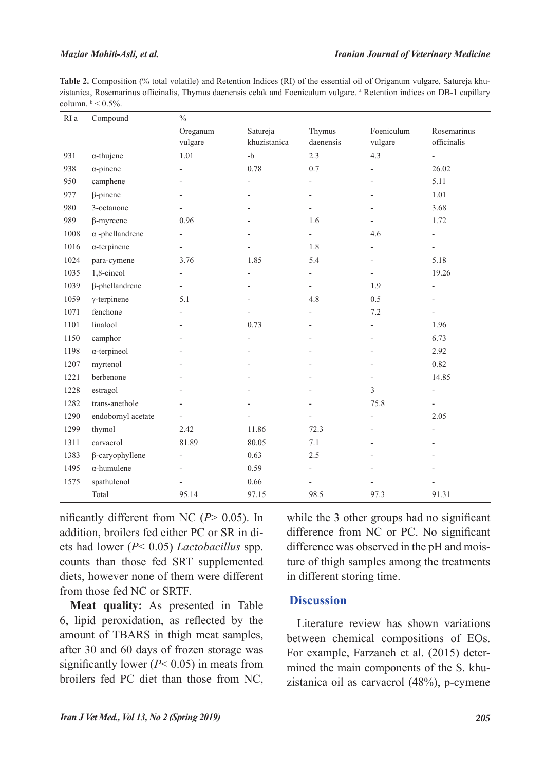### *Maziar Mohiti-Asli, et al.*

**Table 2.** Composition (% total volatile) and Retention Indices (RI) of the essential oil of Origanum vulgare, Satureja khuzistanica, Rosemarinus officinalis, Thymus daenensis celak and Foeniculum vulgare. <sup>a</sup> Retention indices on DB-1 capillary column.  $\frac{b}{0.5\%}$ .

| RI a | Compound               | $\%$                     |                          |                          |                          |                                   |
|------|------------------------|--------------------------|--------------------------|--------------------------|--------------------------|-----------------------------------|
|      |                        | Oreganum                 | Satureja<br>khuzistanica | Thymus<br>daenensis      | Foeniculum               | Rosemarinus<br>officinalis        |
| 931  | $\alpha$ -thujene      | vulgare<br>1.01          | $-b$                     | 2.3                      | vulgare<br>4.3           |                                   |
|      |                        |                          | 0.78                     |                          |                          | $\overline{\phantom{a}}$<br>26.02 |
| 938  | $\alpha$ -pinene       | $\overline{a}$           |                          | 0.7                      | $\overline{\phantom{0}}$ |                                   |
| 950  | camphene               |                          |                          | $\overline{\phantom{0}}$ | $\overline{a}$           | 5.11                              |
| 977  | $\beta$ -pinene        |                          |                          | $\overline{\phantom{0}}$ |                          | 1.01                              |
| 980  | 3-octanone             |                          |                          | $\overline{\phantom{0}}$ | $\overline{a}$           | 3.68                              |
| 989  | $\beta$ -myrcene       | 0.96                     |                          | 1.6                      | $\overline{\phantom{0}}$ | 1.72                              |
| 1008 | $\alpha$ -phellandrene | $\overline{a}$           |                          | $\overline{\phantom{0}}$ | 4.6                      | $\overline{\phantom{a}}$          |
| 1016 | $\alpha$ -terpinene    | $\overline{a}$           |                          | 1.8                      | $\overline{\phantom{a}}$ | $\overline{\phantom{0}}$          |
| 1024 | para-cymene            | 3.76                     | 1.85                     | 5.4                      | $\overline{\phantom{a}}$ | 5.18                              |
| 1035 | 1,8-cineol             | $\overline{a}$           |                          | $\overline{\phantom{0}}$ | $\overline{\phantom{a}}$ | 19.26                             |
| 1039 | $\beta$ -phellandrene  | $\overline{a}$           |                          | $\overline{\phantom{0}}$ | 1.9                      | $\overline{\phantom{a}}$          |
| 1059 | $\gamma$ -terpinene    | 5.1                      |                          | 4.8                      | 0.5                      |                                   |
| 1071 | fenchone               | $\overline{a}$           |                          | $\overline{a}$           | 7.2                      | $\overline{\phantom{a}}$          |
| 1101 | linalool               |                          | 0.73                     | $\overline{a}$           | $\overline{\phantom{m}}$ | 1.96                              |
| 1150 | camphor                |                          |                          |                          | $\overline{a}$           | 6.73                              |
| 1198 | $\alpha$ -terpineol    |                          |                          |                          | $\overline{a}$           | 2.92                              |
| 1207 | myrtenol               |                          |                          | $\overline{a}$           | $\overline{a}$           | 0.82                              |
| 1221 | berbenone              |                          |                          |                          | $\overline{\phantom{a}}$ | 14.85                             |
| 1228 | estragol               |                          |                          |                          | 3                        | $\overline{\phantom{a}}$          |
| 1282 | trans-anethole         | $\overline{a}$           |                          | $\overline{\phantom{0}}$ | 75.8                     | $\overline{\phantom{a}}$          |
| 1290 | endobornyl acetate     |                          |                          |                          | $\overline{\phantom{0}}$ | 2.05                              |
| 1299 | thymol                 | 2.42                     | 11.86                    | 72.3                     |                          |                                   |
| 1311 | carvacrol              | 81.89                    | 80.05                    | 7.1                      | $\overline{\phantom{0}}$ |                                   |
| 1383 | $\beta$ -caryophyllene | $\overline{\phantom{0}}$ | 0.63                     | 2.5                      | $\overline{a}$           |                                   |
| 1495 | $\alpha$ -humulene     | $\overline{a}$           | 0.59                     | $\overline{\phantom{0}}$ |                          |                                   |
| 1575 | spathulenol            |                          | 0.66                     | $\overline{\phantom{0}}$ |                          |                                   |
|      | Total                  | 95.14                    | 97.15                    | 98.5                     | 97.3                     | 91.31                             |

nificantly different from NC (*P*> 0.05). In addition, broilers fed either PC or SR in diets had lower (*P*< 0.05) *Lactobacillus* spp. counts than those fed SRT supplemented diets, however none of them were different from those fed NC or SRTF.

**Meat quality:** As presented in Table 6, lipid peroxidation, as reflected by the amount of TBARS in thigh meat samples, after 30 and 60 days of frozen storage was significantly lower (*P*< 0.05) in meats from broilers fed PC diet than those from NC,

while the 3 other groups had no significant difference from NC or PC. No significant difference was observed in the pH and moisture of thigh samples among the treatments in different storing time.

## **Discussion**

Literature review has shown variations between chemical compositions of EOs. For example, Farzaneh et al. (2015) determined the main components of the S. khuzistanica oil as carvacrol (48%), p-cymene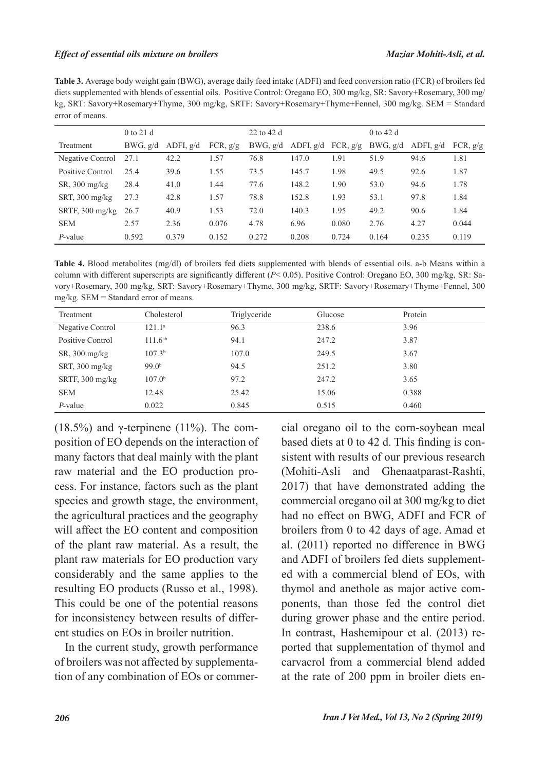### *Effect of essential oils mixture on broilers Maziar Mohiti-Asli, et al.*

**Table 3.** Average body weight gain (BWG), average daily feed intake (ADFI) and feed conversion ratio (FCR) of broilers fed diets supplemented with blends of essential oils. Positive Control: Oregano EO, 300 mg/kg, SR: Savory+Rosemary, 300 mg/ kg, SRT: Savory+Rosemary+Thyme, 300 mg/kg, SRTF: Savory+Rosemary+Thyme+Fennel, 300 mg/kg. SEM = Standard error of means.

|                                        | $0$ to 21 d |             |          | $22$ to 42 d |             |          | $0$ to 42 d |             |            |
|----------------------------------------|-------------|-------------|----------|--------------|-------------|----------|-------------|-------------|------------|
| Treatment                              | BWG, g/d    | ADFI, $g/d$ | FCR, g/g | BWG, g/d     | ADFI, $g/d$ | FCR, g/g | BWG, g/d    | ADFI, $g/d$ | FCR, $g/g$ |
| Negative Control                       | 27.1        | 42.2        | 1.57     | 76.8         | 147.0       | 1.91     | 51.9        | 94.6        | 1.81       |
| Positive Control                       | 25.4        | 39.6        | 1.55     | 73.5         | 145.7       | 1.98     | 49.5        | 92.6        | 1.87       |
| $SR$ , 300 mg/kg                       | 28.4        | 41.0        | 1.44     | 77.6         | 148.2       | 1.90     | 53.0        | 94.6        | 1.78       |
| SRT, $300 \frac{\text{mg}}{\text{kg}}$ | 27.3        | 42.8        | 1.57     | 78.8         | 152.8       | 1.93     | 53.1        | 97.8        | 1.84       |
| SRTF, $300 \text{ mg/kg}$              | 26.7        | 40.9        | 1.53     | 72.0         | 140.3       | 1.95     | 49.2        | 90.6        | 1.84       |
| <b>SEM</b>                             | 2.57        | 2.36        | 0.076    | 4.78         | 6.96        | 0.080    | 2.76        | 4.27        | 0.044      |
| P-value                                | 0.592       | 0.379       | 0.152    | 0.272        | 0.208       | 0.724    | 0.164       | 0.235       | 0.119      |

**Table 4.** Blood metabolites (mg/dl) of broilers fed diets supplemented with blends of essential oils. a-b Means within a column with different superscripts are significantly different (*P*< 0.05). Positive Control: Oregano EO, 300 mg/kg, SR: Savory+Rosemary, 300 mg/kg, SRT: Savory+Rosemary+Thyme, 300 mg/kg, SRTF: Savory+Rosemary+Thyme+Fennel, 300 mg/kg. SEM = Standard error of means.

| Treatment        | Cholesterol        | Triglyceride | Glucose | Protein |
|------------------|--------------------|--------------|---------|---------|
| Negative Control | $121.1^{\circ}$    | 96.3         | 238.6   | 3.96    |
| Positive Control | $111.6^{ab}$       | 94.1         | 247.2   | 3.87    |
| $SR$ , 300 mg/kg | 107.3 <sup>b</sup> | 107.0        | 249.5   | 3.67    |
| SRT, 300 mg/kg   | 99.0 <sup>b</sup>  | 94.5         | 251.2   | 3.80    |
| SRTF, 300 mg/kg  | 107.0 <sup>b</sup> | 97.2         | 247.2   | 3.65    |
| <b>SEM</b>       | 12.48              | 25.42        | 15.06   | 0.388   |
| $P$ -value       | 0.022              | 0.845        | 0.515   | 0.460   |

(18.5%) and  $\gamma$ -terpinene (11%). The composition of EO depends on the interaction of many factors that deal mainly with the plant raw material and the EO production process. For instance, factors such as the plant species and growth stage, the environment, the agricultural practices and the geography will affect the EO content and composition of the plant raw material. As a result, the plant raw materials for EO production vary considerably and the same applies to the resulting EO products (Russo et al., 1998). This could be one of the potential reasons for inconsistency between results of different studies on EOs in broiler nutrition.

In the current study, growth performance of broilers was not affected by supplementation of any combination of EOs or commercial oregano oil to the corn-soybean meal based diets at 0 to 42 d. This finding is consistent with results of our previous research (Mohiti-Asli and Ghenaatparast-Rashti, 2017) that have demonstrated adding the commercial oregano oil at 300 mg/kg to diet had no effect on BWG, ADFI and FCR of broilers from 0 to 42 days of age. Amad et al. (2011) reported no difference in BWG and ADFI of broilers fed diets supplemented with a commercial blend of EOs, with thymol and anethole as major active components, than those fed the control diet during grower phase and the entire period. In contrast, Hashemipour et al. (2013) reported that supplementation of thymol and carvacrol from a commercial blend added at the rate of 200 ppm in broiler diets en-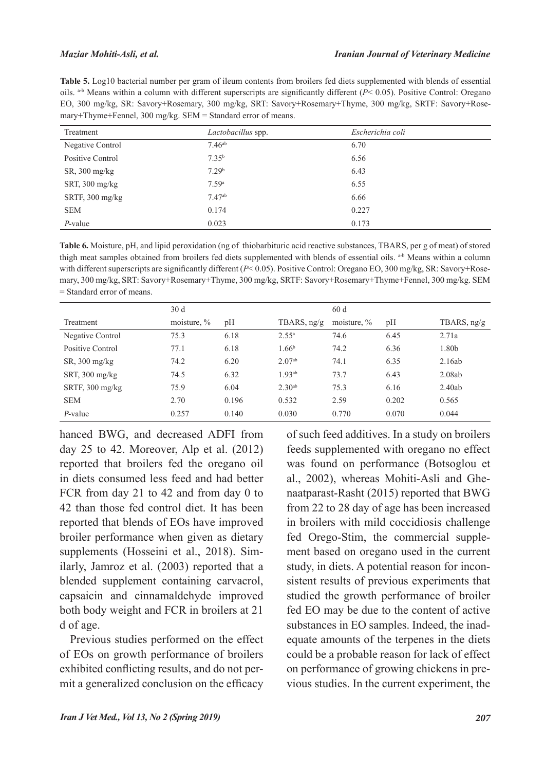### *Maziar Mohiti-Asli, et al.*

**Table 5.** Log10 bacterial number per gram of ileum contents from broilers fed diets supplemented with blends of essential oils.  $a-b$  Means within a column with different superscripts are significantly different  $(P< 0.05)$ . Positive Control: Oregano EO, 300 mg/kg, SR: Savory+Rosemary, 300 mg/kg, SRT: Savory+Rosemary+Thyme, 300 mg/kg, SRTF: Savory+Rosemary+Thyme+Fennel, 300 mg/kg. SEM = Standard error of means.

| Treatment        | Lactobacillus spp. | Escherichia coli |
|------------------|--------------------|------------------|
| Negative Control | $7.46^{ab}$        | 6.70             |
| Positive Control | $7.35^{b}$         | 6.56             |
| $SR$ , 300 mg/kg | 7.29 <sup>b</sup>  | 6.43             |
| SRT, 300 mg/kg   | 7.59a              | 6.55             |
| SRTF, 300 mg/kg  | 7.47 <sup>ab</sup> | 6.66             |
| <b>SEM</b>       | 0.174              | 0.227            |
| P-value          | 0.023              | 0.173            |

**Table 6.** Moisture, pH, and lipid peroxidation (ng of thiobarbituric acid reactive substances, TBARS, per g of meat) of stored thigh meat samples obtained from broilers fed diets supplemented with blends of essential oils. a-b Means within a column with different superscripts are significantly different (*P*< 0.05). Positive Control: Oregano EO, 300 mg/kg, SR: Savory+Rosemary, 300 mg/kg, SRT: Savory+Rosemary+Thyme, 300 mg/kg, SRTF: Savory+Rosemary+Thyme+Fennel, 300 mg/kg. SEM = Standard error of means.

|                          | 30 <sub>d</sub> |       |                    | 60d            |       |               |
|--------------------------|-----------------|-------|--------------------|----------------|-------|---------------|
| Treatment                | moisture, $\%$  | pH    | TBARS, $ng/g$      | moisture, $\%$ | pH    | TBARS, $ng/g$ |
| Negative Control         | 75.3            | 6.18  | $2.55^{\rm a}$     | 74.6           | 6.45  | 2.71a         |
| Positive Control         | 77.1            | 6.18  | 1.66 <sup>b</sup>  | 74.2           | 6.36  | 1.80b         |
| $SR$ , 300 mg/kg         | 74.2            | 6.20  | $2.07^{ab}$        | 74.1           | 6.35  | 2.16ab        |
| SRT, $300 \text{ mg/kg}$ | 74.5            | 6.32  | 1.93 <sup>ab</sup> | 73.7           | 6.43  | 2.08ab        |
| SRTF, 300 mg/kg          | 75.9            | 6.04  | $2.30^{ab}$        | 75.3           | 6.16  | 2.40ab        |
| <b>SEM</b>               | 2.70            | 0.196 | 0.532              | 2.59           | 0.202 | 0.565         |
| P-value                  | 0.257           | 0.140 | 0.030              | 0.770          | 0.070 | 0.044         |

hanced BWG, and decreased ADFI from day 25 to 42. Moreover, Alp et al. (2012) reported that broilers fed the oregano oil in diets consumed less feed and had better FCR from day 21 to 42 and from day 0 to 42 than those fed control diet. It has been reported that blends of EOs have improved broiler performance when given as dietary supplements (Hosseini et al., 2018). Similarly, Jamroz et al. (2003) reported that a blended supplement containing carvacrol, capsaicin and cinnamaldehyde improved both body weight and FCR in broilers at 21 d of age.

Previous studies performed on the effect of EOs on growth performance of broilers exhibited conflicting results, and do not permit a generalized conclusion on the efficacy

of such feed additives. In a study on broilers feeds supplemented with oregano no effect was found on performance (Botsoglou et al., 2002), whereas Mohiti-Asli and Ghenaatparast-Rasht (2015) reported that BWG from 22 to 28 day of age has been increased in broilers with mild coccidiosis challenge fed Orego-Stim, the commercial supplement based on oregano used in the current study, in diets. A potential reason for inconsistent results of previous experiments that studied the growth performance of broiler fed EO may be due to the content of active substances in EO samples. Indeed, the inadequate amounts of the terpenes in the diets could be a probable reason for lack of effect on performance of growing chickens in previous studies. In the current experiment, the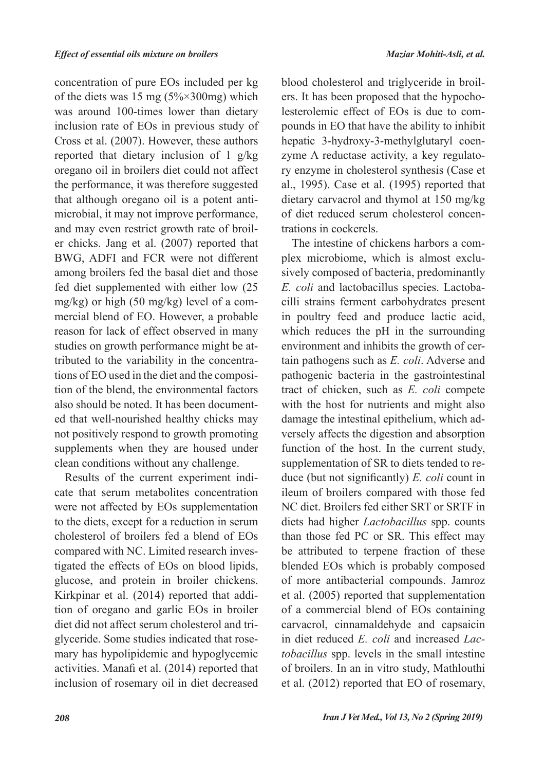concentration of pure EOs included per kg of the diets was 15 mg  $(5\% \times 300$  mg) which was around 100-times lower than dietary inclusion rate of EOs in previous study of Cross et al. (2007). However, these authors reported that dietary inclusion of 1 g/kg oregano oil in broilers diet could not affect the performance, it was therefore suggested that although oregano oil is a potent antimicrobial, it may not improve performance, and may even restrict growth rate of broiler chicks. Jang et al. (2007) reported that BWG, ADFI and FCR were not different among broilers fed the basal diet and those fed diet supplemented with either low (25 mg/kg) or high (50 mg/kg) level of a commercial blend of EO. However, a probable reason for lack of effect observed in many studies on growth performance might be attributed to the variability in the concentrations of EO used in the diet and the composition of the blend, the environmental factors also should be noted. It has been documented that well-nourished healthy chicks may not positively respond to growth promoting supplements when they are housed under clean conditions without any challenge.

Results of the current experiment indicate that serum metabolites concentration were not affected by EOs supplementation to the diets, except for a reduction in serum cholesterol of broilers fed a blend of EOs compared with NC. Limited research investigated the effects of EOs on blood lipids, glucose, and protein in broiler chickens. Kirkpinar et al. (2014) reported that addition of oregano and garlic EOs in broiler diet did not affect serum cholesterol and triglyceride. Some studies indicated that rosemary has hypolipidemic and hypoglycemic activities. Manafi et al. (2014) reported that inclusion of rosemary oil in diet decreased

blood cholesterol and triglyceride in broilers. It has been proposed that the hypocholesterolemic effect of EOs is due to compounds in EO that have the ability to inhibit hepatic 3-hydroxy-3-methylglutaryl coenzyme A reductase activity, a key regulatory enzyme in cholesterol synthesis (Case et al., 1995). Case et al. (1995) reported that dietary carvacrol and thymol at 150 mg/kg of diet reduced serum cholesterol concentrations in cockerels.

The intestine of chickens harbors a complex microbiome, which is almost exclusively composed of bacteria, predominantly *E. coli* and lactobacillus species. Lactobacilli strains ferment carbohydrates present in poultry feed and produce lactic acid, which reduces the pH in the surrounding environment and inhibits the growth of certain pathogens such as *E. coli*. Adverse and pathogenic bacteria in the gastrointestinal tract of chicken, such as *E. coli* compete with the host for nutrients and might also damage the intestinal epithelium, which adversely affects the digestion and absorption function of the host. In the current study, supplementation of SR to diets tended to reduce (but not significantly) *E. coli* count in ileum of broilers compared with those fed NC diet. Broilers fed either SRT or SRTF in diets had higher *Lactobacillus* spp. counts than those fed PC or SR. This effect may be attributed to terpene fraction of these blended EOs which is probably composed of more antibacterial compounds. Jamroz et al. (2005) reported that supplementation of a commercial blend of EOs containing carvacrol, cinnamaldehyde and capsaicin in diet reduced *E. coli* and increased *Lactobacillus* spp. levels in the small intestine of broilers. In an in vitro study, Mathlouthi et al. (2012) reported that EO of rosemary,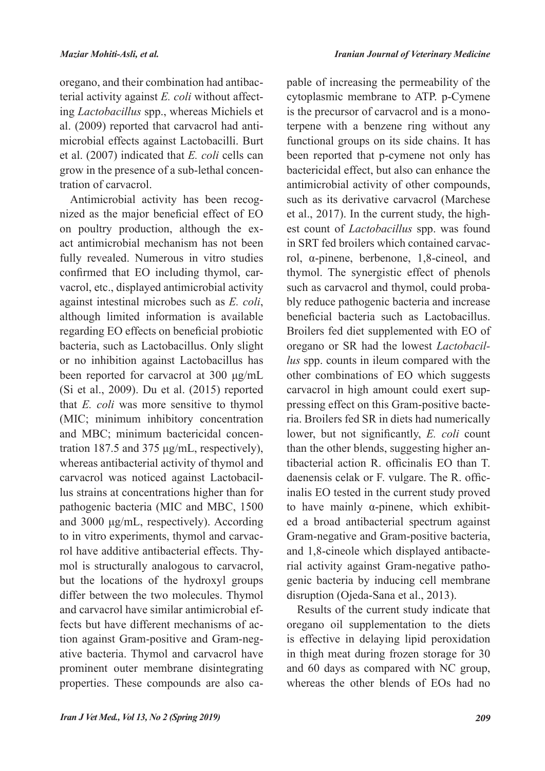oregano, and their combination had antibacterial activity against *E. coli* without affecting *Lactobacillus* spp., whereas Michiels et al. (2009) reported that carvacrol had antimicrobial effects against Lactobacilli. Burt et al. (2007) indicated that *E. coli* cells can grow in the presence of a sub-lethal concentration of carvacrol.

Antimicrobial activity has been recognized as the major beneficial effect of EO on poultry production, although the exact antimicrobial mechanism has not been fully revealed. Numerous in vitro studies confirmed that EO including thymol, carvacrol, etc., displayed antimicrobial activity against intestinal microbes such as *E. coli*, although limited information is available regarding EO effects on beneficial probiotic bacteria, such as Lactobacillus. Only slight or no inhibition against Lactobacillus has been reported for carvacrol at 300 μg/mL (Si et al., 2009). Du et al. (2015) reported that *E. coli* was more sensitive to thymol (MIC; minimum inhibitory concentration and MBC; minimum bactericidal concentration 187.5 and 375 μg/mL, respectively), whereas antibacterial activity of thymol and carvacrol was noticed against Lactobacillus strains at concentrations higher than for pathogenic bacteria (MIC and MBC, 1500 and 3000 μg/mL, respectively). According to in vitro experiments, thymol and carvacrol have additive antibacterial effects. Thymol is structurally analogous to carvacrol, but the locations of the hydroxyl groups differ between the two molecules. Thymol and carvacrol have similar antimicrobial effects but have different mechanisms of action against Gram-positive and Gram-negative bacteria. Thymol and carvacrol have prominent outer membrane disintegrating properties. These compounds are also capable of increasing the permeability of the cytoplasmic membrane to ATP. p-Cymene is the precursor of carvacrol and is a monoterpene with a benzene ring without any functional groups on its side chains. It has been reported that p-cymene not only has bactericidal effect, but also can enhance the antimicrobial activity of other compounds, such as its derivative carvacrol (Marchese et al., 2017). In the current study, the highest count of *Lactobacillus* spp. was found in SRT fed broilers which contained carvacrol, α-pinene, berbenone, 1,8-cineol, and thymol. The synergistic effect of phenols such as carvacrol and thymol, could probably reduce pathogenic bacteria and increase beneficial bacteria such as Lactobacillus. Broilers fed diet supplemented with EO of oregano or SR had the lowest *Lactobacillus* spp. counts in ileum compared with the other combinations of EO which suggests carvacrol in high amount could exert suppressing effect on this Gram-positive bacteria. Broilers fed SR in diets had numerically lower, but not significantly, *E. coli* count than the other blends, suggesting higher antibacterial action R. officinalis EO than T. daenensis celak or F. vulgare. The R. officinalis EO tested in the current study proved to have mainly α-pinene, which exhibited a broad antibacterial spectrum against Gram-negative and Gram-positive bacteria, and 1,8-cineole which displayed antibacterial activity against Gram-negative pathogenic bacteria by inducing cell membrane disruption (Ojeda-Sana et al., 2013).

Results of the current study indicate that oregano oil supplementation to the diets is effective in delaying lipid peroxidation in thigh meat during frozen storage for 30 and 60 days as compared with NC group, whereas the other blends of EOs had no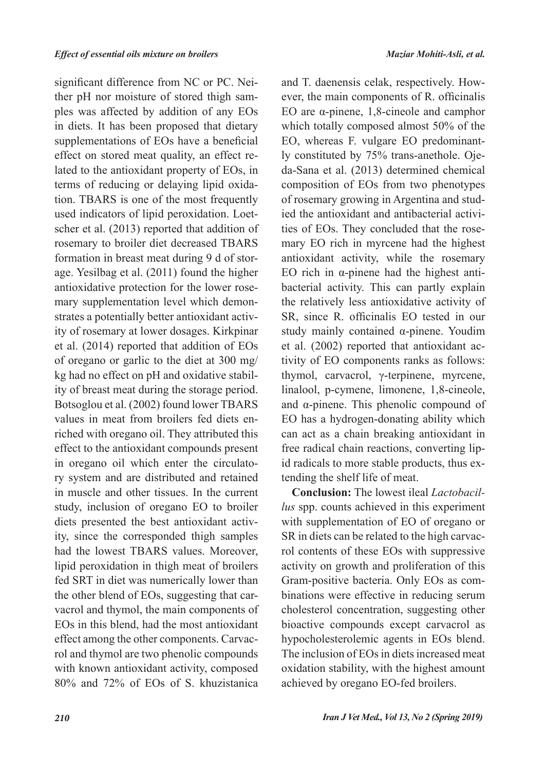significant difference from NC or PC. Neither pH nor moisture of stored thigh samples was affected by addition of any EOs in diets. It has been proposed that dietary supplementations of EOs have a beneficial effect on stored meat quality, an effect related to the antioxidant property of EOs, in terms of reducing or delaying lipid oxidation. TBARS is one of the most frequently used indicators of lipid peroxidation. Loetscher et al. (2013) reported that addition of rosemary to broiler diet decreased TBARS formation in breast meat during 9 d of storage. Yesilbag et al. (2011) found the higher antioxidative protection for the lower rosemary supplementation level which demonstrates a potentially better antioxidant activity of rosemary at lower dosages. Kirkpinar et al. (2014) reported that addition of EOs of oregano or garlic to the diet at 300 mg/ kg had no effect on pH and oxidative stability of breast meat during the storage period. Botsoglou et al. (2002) found lower TBARS values in meat from broilers fed diets enriched with oregano oil. They attributed this effect to the antioxidant compounds present in oregano oil which enter the circulatory system and are distributed and retained in muscle and other tissues. In the current study, inclusion of oregano EO to broiler diets presented the best antioxidant activity, since the corresponded thigh samples had the lowest TBARS values. Moreover, lipid peroxidation in thigh meat of broilers fed SRT in diet was numerically lower than the other blend of EOs, suggesting that carvacrol and thymol, the main components of EOs in this blend, had the most antioxidant effect among the other components. Carvacrol and thymol are two phenolic compounds with known antioxidant activity, composed 80% and 72% of EOs of S. khuzistanica

and T. daenensis celak, respectively. However, the main components of R. officinalis EO are α-pinene, 1,8-cineole and camphor which totally composed almost 50% of the EO, whereas F. vulgare EO predominantly constituted by 75% trans-anethole. Ojeda-Sana et al. (2013) determined chemical composition of EOs from two phenotypes of rosemary growing in Argentina and studied the antioxidant and antibacterial activities of EOs. They concluded that the rosemary EO rich in myrcene had the highest antioxidant activity, while the rosemary EO rich in α-pinene had the highest antibacterial activity. This can partly explain the relatively less antioxidative activity of SR, since R. officinalis EO tested in our study mainly contained α-pinene. Youdim et al. (2002) reported that antioxidant activity of EO components ranks as follows: thymol, carvacrol, γ-terpinene, myrcene, linalool, p-cymene, limonene, 1,8-cineole, and α-pinene. This phenolic compound of EO has a hydrogen-donating ability which can act as a chain breaking antioxidant in free radical chain reactions, converting lipid radicals to more stable products, thus extending the shelf life of meat.

**Conclusion:** The lowest ileal *Lactobacillus* spp. counts achieved in this experiment with supplementation of EO of oregano or SR in diets can be related to the high carvacrol contents of these EOs with suppressive activity on growth and proliferation of this Gram-positive bacteria. Only EOs as combinations were effective in reducing serum cholesterol concentration, suggesting other bioactive compounds except carvacrol as hypocholesterolemic agents in EOs blend. The inclusion of EOs in diets increased meat oxidation stability, with the highest amount achieved by oregano EO-fed broilers.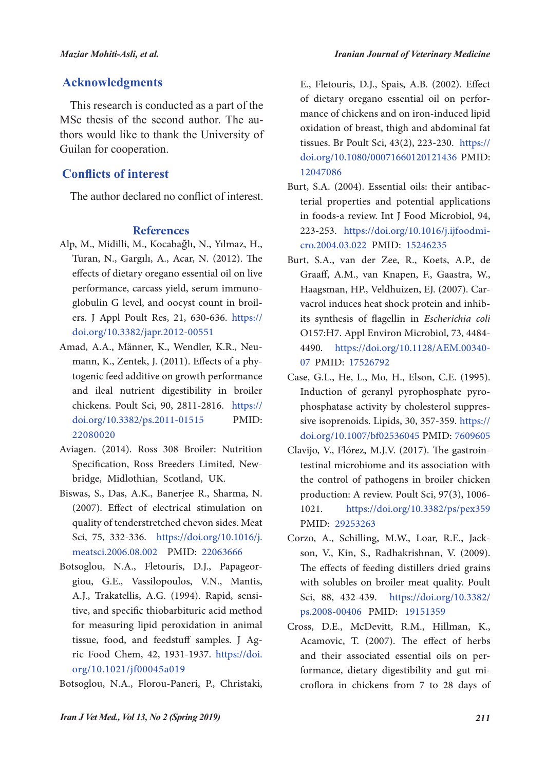### **Acknowledgments**

This research is conducted as a part of the MSc thesis of the second author. The authors would like to thank the University of Guilan for cooperation.

## **Conflicts of interest**

The author declared no conflict of interest.

### **References**

- Alp, M., Midilli, M., Kocabağlı, N., Yılmaz, H., Turan, N., Gargılı, A., Acar, N. (2012). The effects of dietary oregano essential oil on live performance, carcass yield, serum immunoglobulin G level, and oocyst count in broilers. J Appl Poult Res, 21, 630-636. https:// doi.org/10.3382/japr.2012-00551
- Amad, A.A., Männer, K., Wendler, K.R., Neumann, K., Zentek, J. (2011). Effects of a phytogenic feed additive on growth performance and ileal nutrient digestibility in broiler chickens. Poult Sci, 90, 2811-2816. https:// doi.org/10.3382/ps.2011-01515 PMID: 22080020
- Aviagen. (2014). Ross 308 Broiler: Nutrition Specification, Ross Breeders Limited, Newbridge, Midlothian, Scotland, UK.
- Biswas, S., Das, A.K., Banerjee R., Sharma, N. (2007). Effect of electrical stimulation on quality of tenderstretched chevon sides. Meat Sci, 75, 332-336. https://doi.org/10.1016/j. meatsci.2006.08.002 PMID: 22063666
- Botsoglou, N.A., Fletouris, D.J., Papageorgiou, G.E., Vassilopoulos, V.N., Mantis, A.J., Trakatellis, A.G. (1994). Rapid, sensitive, and specific thiobarbituric acid method for measuring lipid peroxidation in animal tissue, food, and feedstuff samples. J Agric Food Chem, 42, 1931-1937. https://doi. org/10.1021/jf00045a019

Botsoglou, N.A., Florou-Paneri, P., Christaki,

E., Fletouris, D.J., Spais, A.B. (2002). Effect of dietary oregano essential oil on performance of chickens and on iron-induced lipid oxidation of breast, thigh and abdominal fat tissues. Br Poult Sci, 43(2), 223-230. https:// doi.org/10.1080/00071660120121436 PMID: 12047086

- Burt, S.A. (2004). Essential oils: their antibacterial properties and potential applications in foods-a review. Int J Food Microbiol, 94, 223-253. https://doi.org/10.1016/j.ijfoodmicro.2004.03.022 PMID: 15246235
- Burt, S.A., van der Zee, R., Koets, A.P., de Graaff, A.M., van Knapen, F., Gaastra, W., Haagsman, HP., Veldhuizen, EJ. (2007). Carvacrol induces heat shock protein and inhibits synthesis of flagellin in *Escherichia coli*  O157:H7. Appl Environ Microbiol, 73, 4484- 4490. https://doi.org/10.1128/AEM.00340- 07 PMID: 17526792
- Case, G.L., He, L., Mo, H., Elson, C.E. (1995). Induction of geranyl pyrophosphate pyrophosphatase activity by cholesterol suppressive isoprenoids. Lipids, 30, 357-359. https:// doi.org/10.1007/bf02536045 PMID: 7609605
- Clavijo, V., Flórez, M.J.V. (2017). The gastrointestinal microbiome and its association with the control of pathogens in broiler chicken production: A review. Poult Sci, 97(3), 1006- 1021. https://doi.org/10.3382/ps/pex359 PMID: 29253263
- Corzo, A., Schilling, M.W., Loar, R.E., Jackson, V., Kin, S., Radhakrishnan, V. (2009). The effects of feeding distillers dried grains with solubles on broiler meat quality. Poult Sci, 88, 432-439. https://doi.org/10.3382/ ps.2008-00406 PMID: 19151359
- Cross, D.E., McDevitt, R.M., Hillman, K., Acamovic, T. (2007). The effect of herbs and their associated essential oils on performance, dietary digestibility and gut microflora in chickens from 7 to 28 days of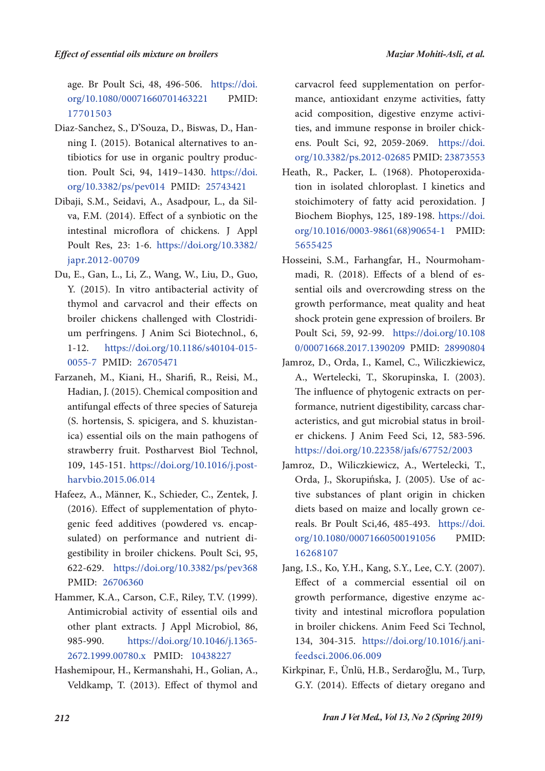age. Br Poult Sci, 48, 496-506. https://doi. org/10.1080/00071660701463221 PMID: 17701503

- Diaz-Sanchez, S., D'Souza, D., Biswas, D., Hanning I. (2015). Botanical alternatives to antibiotics for use in organic poultry production. Poult Sci, 94, 1419–1430. https://doi. org/10.3382/ps/pev014 PMID: 25743421
- Dibaji, S.M., Seidavi, A., Asadpour, L., da Silva, F.M. (2014). Effect of a synbiotic on the intestinal microflora of chickens. J Appl Poult Res, 23: 1-6. https://doi.org/10.3382/ japr.2012-00709
- Du, E., Gan, L., Li, Z., Wang, W., Liu, D., Guo, Y. (2015). In vitro antibacterial activity of thymol and carvacrol and their effects on broiler chickens challenged with Clostridium perfringens. J Anim Sci Biotechnol., 6, 1-12. https://doi.org/10.1186/s40104-015- 0055-7 PMID: 26705471
- Farzaneh, M., Kiani, H., Sharifi, R., Reisi, M., Hadian, J. (2015). Chemical composition and antifungal effects of three species of Satureja (S. hortensis, S. spicigera, and S. khuzistanica) essential oils on the main pathogens of strawberry fruit. Postharvest Biol Technol, 109, 145-151. https://doi.org/10.1016/j.postharvbio.2015.06.014
- Hafeez, A., Männer, K., Schieder, C., Zentek, J. (2016). Effect of supplementation of phytogenic feed additives (powdered vs. encapsulated) on performance and nutrient digestibility in broiler chickens. Poult Sci, 95, 622-629. https://doi.org/10.3382/ps/pev368 PMID: 26706360
- Hammer, K.A., Carson, C.F., Riley, T.V. (1999). Antimicrobial activity of essential oils and other plant extracts. J Appl Microbiol, 86, 985-990. https://doi.org/10.1046/j.1365- 2672.1999.00780.x PMID: 10438227
- Hashemipour, H., Kermanshahi, H., Golian, A., Veldkamp, T. (2013). Effect of thymol and

carvacrol feed supplementation on performance, antioxidant enzyme activities, fatty acid composition, digestive enzyme activities, and immune response in broiler chickens. Poult Sci, 92, 2059-2069. https://doi. org/10.3382/ps.2012-02685 PMID: 23873553

- Heath, R., Packer, L. (1968). Photoperoxidation in isolated chloroplast. I kinetics and stoichimotery of fatty acid peroxidation. J Biochem Biophys, 125, 189-198. https://doi. org/10.1016/0003-9861(68)90654-1 PMID: 5655425
- Hosseini, S.M., Farhangfar, H., Nourmohammadi, R. (2018). Effects of a blend of essential oils and overcrowding stress on the growth performance, meat quality and heat shock protein gene expression of broilers. Br Poult Sci, 59, 92-99. https://doi.org/10.108 0/00071668.2017.1390209 PMID: 28990804
- Jamroz, D., Orda, I., Kamel, C., Wiliczkiewicz, A., Wertelecki, T., Skorupinska, I. (2003). The influence of phytogenic extracts on performance, nutrient digestibility, carcass characteristics, and gut microbial status in broiler chickens. J Anim Feed Sci, 12, 583-596. https://doi.org/10.22358/jafs/67752/2003
- Jamroz, D., Wiliczkiewicz, A., Wertelecki, T., Orda, J., Skorupińska, J. (2005). Use of active substances of plant origin in chicken diets based on maize and locally grown cereals. Br Poult Sci,46, 485-493. https://doi. org/10.1080/00071660500191056 PMID: 16268107
- Jang, I.S., Ko, Y.H., Kang, S.Y., Lee, C.Y. (2007). Effect of a commercial essential oil on growth performance, digestive enzyme activity and intestinal microflora population in broiler chickens. Anim Feed Sci Technol, 134, 304-315. https://doi.org/10.1016/j.anifeedsci.2006.06.009
- Kirkpinar, F., Ünlü, H.B., Serdaroğlu, M., Turp, G.Y. (2014). Effects of dietary oregano and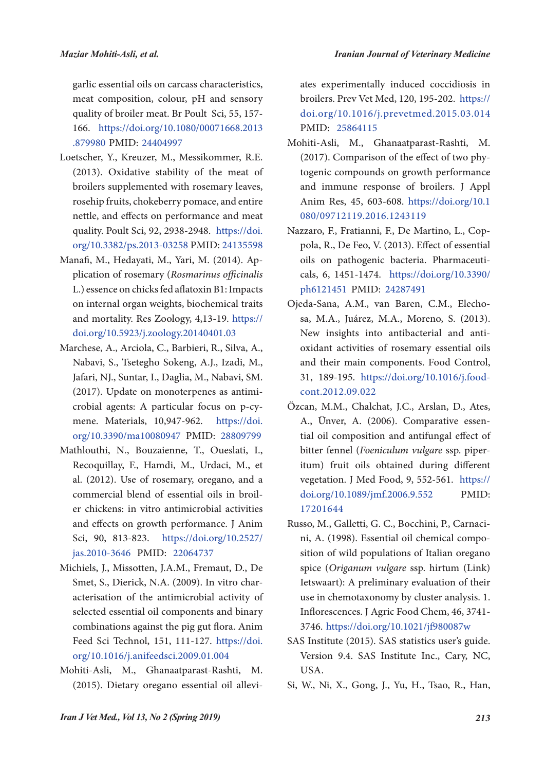garlic essential oils on carcass characteristics, meat composition, colour, pH and sensory quality of broiler meat. Br Poult Sci, 55, 157- 166. https://doi.org/10.1080/00071668.2013 .879980 PMID: 24404997

- Loetscher, Y., Kreuzer, M., Messikommer, R.E. (2013). Oxidative stability of the meat of broilers supplemented with rosemary leaves, rosehip fruits, chokeberry pomace, and entire nettle, and effects on performance and meat quality. Poult Sci, 92, 2938-2948. https://doi. org/10.3382/ps.2013-03258 PMID: 24135598
- Manafi, M., Hedayati, M., Yari, M. (2014). Application of rosemary (*Rosmarinus officinalis* L.) essence on chicks fed aflatoxin B1: Impacts on internal organ weights, biochemical traits and mortality. Res Zoology, 4,13-19. https:// doi.org/10.5923/j.zoology.20140401.03
- Marchese, A., Arciola, C., Barbieri, R., Silva, A., Nabavi, S., Tsetegho Sokeng, A.J., Izadi, M., Jafari, NJ., Suntar, I., Daglia, M., Nabavi, SM. (2017). Update on monoterpenes as antimicrobial agents: A particular focus on p-cymene. Materials, 10,947-962. https://doi. org/10.3390/ma10080947 PMID: 28809799
- Mathlouthi, N., Bouzaienne, T., Oueslati, I., Recoquillay, F., Hamdi, M., Urdaci, M., et al. (2012). Use of rosemary, oregano, and a commercial blend of essential oils in broiler chickens: in vitro antimicrobial activities and effects on growth performance. J Anim Sci, 90, 813-823. https://doi.org/10.2527/ jas.2010-3646 PMID: 22064737
- Michiels, J., Missotten, J.A.M., Fremaut, D., De Smet, S., Dierick, N.A. (2009). In vitro characterisation of the antimicrobial activity of selected essential oil components and binary combinations against the pig gut flora. Anim Feed Sci Technol, 151, 111-127. https://doi. org/10.1016/j.anifeedsci.2009.01.004
- Mohiti-Asli, M., Ghanaatparast-Rashti, M. (2015). Dietary oregano essential oil allevi-

ates experimentally induced coccidiosis in broilers. Prev Vet Med, 120, 195-202. https:// doi.org/10.1016/j.prevetmed.2015.03.014 PMID: 25864115

- Mohiti-Asli, M., Ghanaatparast-Rashti, M. (2017). Comparison of the effect of two phytogenic compounds on growth performance and immune response of broilers. J Appl Anim Res, 45, 603-608. https://doi.org/10.1 080/09712119.2016.1243119
- Nazzaro, F., Fratianni, F., De Martino, L., Coppola, R., De Feo, V. (2013). Effect of essential oils on pathogenic bacteria. Pharmaceuticals, 6, 1451-1474. https://doi.org/10.3390/ ph6121451 PMID: 24287491
- Ojeda-Sana, A.M., van Baren, C.M., Elechosa, M.A., Juárez, M.A., Moreno, S. (2013). New insights into antibacterial and antioxidant activities of rosemary essential oils and their main components. Food Control, 31, 189-195. https://doi.org/10.1016/j.foodcont.2012.09.022
- Özcan, M.M., Chalchat, J.C., Arslan, D., Ates, A., Ünver, A. (2006). Comparative essential oil composition and antifungal effect of bitter fennel (*Foeniculum vulgare* ssp. piperitum) fruit oils obtained during different vegetation. J Med Food, 9, 552-561. https:// doi.org/10.1089/jmf.2006.9.552 PMID: 17201644
- Russo, M., Galletti, G. C., Bocchini, P., Carnacini, A. (1998). Essential oil chemical composition of wild populations of Italian oregano spice (*Origanum vulgare* ssp. hirtum (Link) Ietswaart): A preliminary evaluation of their use in chemotaxonomy by cluster analysis. 1. Inflorescences. J Agric Food Chem, 46, 3741- 3746. https://doi.org/10.1021/jf980087w
- SAS Institute (2015). SAS statistics user's guide. Version 9.4. SAS Institute Inc., Cary, NC, USA.
- Si, W., Ni, X., Gong, J., Yu, H., Tsao, R., Han,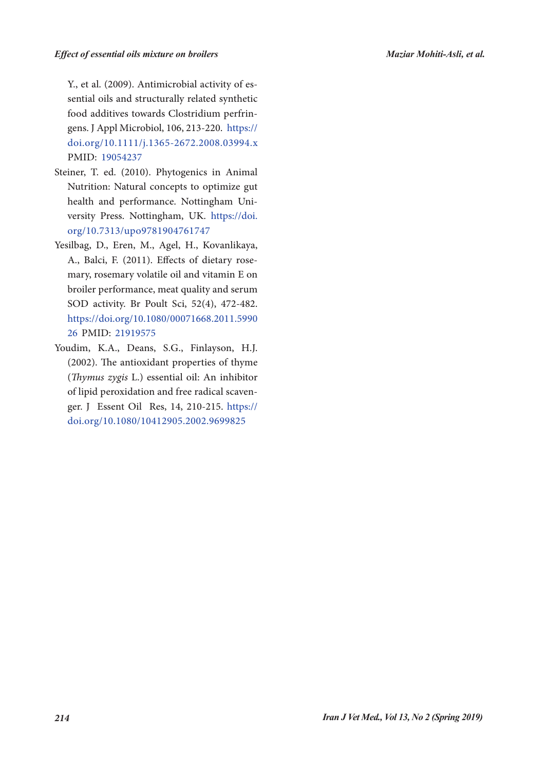Y., et al. (2009). Antimicrobial activity of essential oils and structurally related synthetic food additives towards Clostridium perfringens. J Appl Microbiol, 106, 213-220. https:// doi.org/10.1111/j.1365-2672.2008.03994.x PMID: 19054237

- Steiner, T. ed. (2010). Phytogenics in Animal Nutrition: Natural concepts to optimize gut health and performance. Nottingham University Press. Nottingham, UK. https://doi. org/10.7313/upo9781904761747
- Yesilbag, D., Eren, M., Agel, H., Kovanlikaya, A., Balci, F. (2011). Effects of dietary rosemary, rosemary volatile oil and vitamin E on broiler performance, meat quality and serum SOD activity. Br Poult Sci, 52(4), 472-482. https://doi.org/10.1080/00071668.2011.5990 26 PMID: 21919575
- Youdim, K.A., Deans, S.G., Finlayson, H.J. (2002). The antioxidant properties of thyme (*Thymus zygis* L.) essential oil: An inhibitor of lipid peroxidation and free radical scavenger. J Essent Oil Res, 14, 210-215. https:// doi.org/10.1080/10412905.2002.9699825